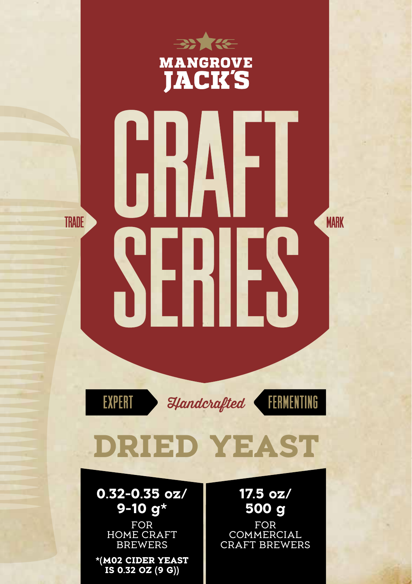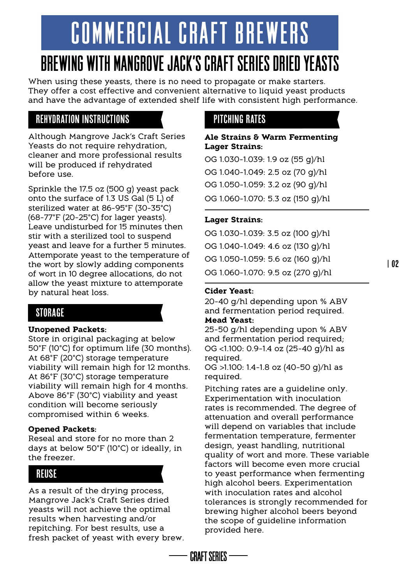# COMMERCIAL CRAFT BREWERS

# BREWING WITH MANGROVE JACK'S CRAFT SERIES DRIED YEASTS

When using these yeasts, there is no need to propagate or make starters. They offer a cost effective and convenient alternative to liquid yeast products and have the advantage of extended shelf life with consistent high performance.

# Rehydration Instructions

Although Mangrove Jack's Craft Series Yeasts do not require rehydration, cleaner and more professional results will be produced if rehydrated before use.

Sprinkle the 17.5 oz (500 g) yeast pack onto the surface of 1.3 US Gal (5 L) of sterilized water at 86-95°F (30-35°C)  $(68-77°F (20-25°C)$  for lager yeasts). Leave undisturbed for 15 minutes then stir with a sterilized tool to suspend yeast and leave for a further 5 minutes. Attemporate yeast to the temperature of the wort by slowly adding components of wort in 10 degree allocations, do not allow the yeast mixture to attemporate by natural heat loss.

# Storage

### **Unopened Packets:**

Store in original packaging at below 50°F (10°C) for optimum life (30 months). At 68°F (20°C) storage temperature viability will remain high for 12 months. At 86°F (30°C) storage temperature viability will remain high for 4 months. Above 86°F (30°C) viability and yeast condition will become seriously compromised within 6 weeks.

### **Opened Packets:**

Reseal and store for no more than 2 days at below 50°F (10°C) or ideally, in the freezer.

# Reuse

As a result of the drying process, Mangrove Jack's Craft Series dried yeasts will not achieve the optimal results when harvesting and/or repitching. For best results, use a fresh packet of yeast with every brew.

# Pitching Rates

#### **Ale Strains & Warm Fermenting Lager Strains:**

OG 1.030-1.039: 1.9 oz (55 g)/hl OG 1.040-1.049: 2.5 oz (70 g)/hl OG 1.050-1.059: 3.2 oz (90 g)/hl OG 1.060-1.070: 5.3 oz (150 g)/hl

# **Lager Strains:**

OG 1.030-1.039: 3.5 oz (100 g)/hl OG 1.040-1.049: 4.6 oz (130 g)/hl OG 1.050-1.059: 5.6 oz (160 g)/hl OG 1.060-1.070: 9.5 oz (270 g)/hl

## **Cider Yeast:**

20-40 g/hl depending upon % ABV and fermentation period required.

# **Mead Yeast:**

**CRAFT SFRIFS -**

25-50 g/hl depending upon % ABV and fermentation period required; OG <1.100: 0.9-1.4 oz (25-40 g)/hl as required.

OG >1.100: 1.4-1.8 oz (40-50 g)/hl as required.

Pitching rates are a guideline only. Experimentation with inoculation rates is recommended. The degree of attenuation and overall performance will depend on variables that include fermentation temperature, fermenter design, yeast handling, nutritional quality of wort and more. These variable factors will become even more crucial to yeast performance when fermenting high alcohol beers. Experimentation with inoculation rates and alcohol tolerances is strongly recommended for brewing higher alcohol beers beyond the scope of guideline information provided here.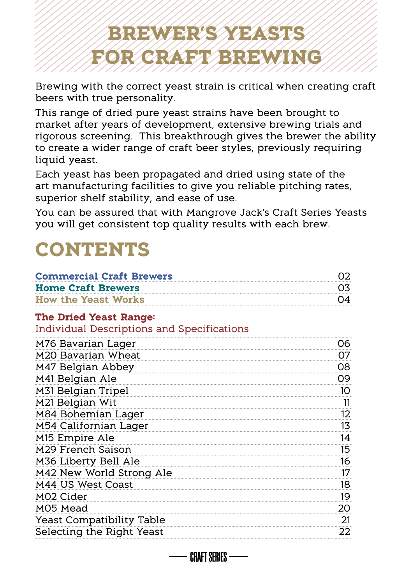# **BREWER'S YEASTS FOR CRAFT BREWING**

Brewing with the correct yeast strain is critical when creating craft beers with true personality.

This range of dried pure yeast strains have been brought to market after years of development, extensive brewing trials and rigorous screening. This breakthrough gives the brewer the ability to create a wider range of craft beer styles, previously requiring liquid yeast.

Each yeast has been propagated and dried using state of the art manufacturing facilities to give you reliable pitching rates, superior shelf stability, and ease of use.

You can be assured that with Mangrove Jack's Craft Series Yeasts you will get consistent top quality results with each brew.

# **CONTENTS**

| <b>Commercial Craft Brewers</b>                   | 02 |  |  |  |  |
|---------------------------------------------------|----|--|--|--|--|
| <b>Home Craft Brewers</b>                         | 03 |  |  |  |  |
| <b>How the Yeast Works</b>                        | O4 |  |  |  |  |
| <b>The Dried Yeast Range:</b>                     |    |  |  |  |  |
| <b>Individual Descriptions and Specifications</b> |    |  |  |  |  |
| M76 Bavarian Lager                                | 06 |  |  |  |  |
| M20 Bavarian Wheat                                | 07 |  |  |  |  |
| M47 Belgian Abbey                                 | 08 |  |  |  |  |
| M41 Belgian Ale                                   | 09 |  |  |  |  |
| M31 Belgian Tripel                                | 10 |  |  |  |  |
| M21 Belgian Wit                                   | 11 |  |  |  |  |
| M84 Bohemian Lager                                | 12 |  |  |  |  |
| M54 Californian Lager                             | 13 |  |  |  |  |
| M <sub>15</sub> Empire Ale                        | 14 |  |  |  |  |
| M29 French Saison                                 | 15 |  |  |  |  |
| M36 Liberty Bell Ale                              | 16 |  |  |  |  |
| M42 New World Strong Ale                          | 17 |  |  |  |  |
| M44 US West Coast                                 | 18 |  |  |  |  |
| M02 Cider                                         | 19 |  |  |  |  |
| M05 Mead                                          | 20 |  |  |  |  |
| Yeast Compatibility Table                         | 21 |  |  |  |  |
| Selecting the Right Yeast                         | 22 |  |  |  |  |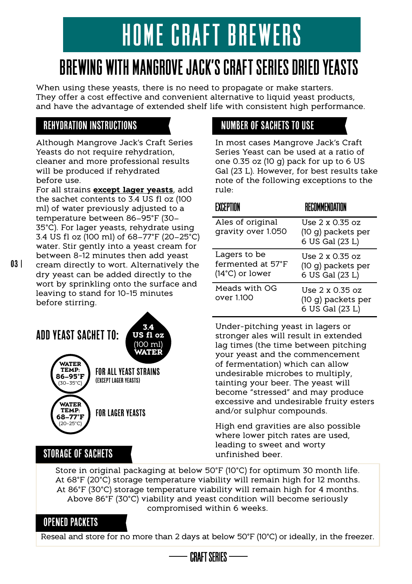# HOME CRAFT BREWERS

# BREWING WITH MANGROVE JACK'S CRAFT SERIES DRIED YEASTS

When using these yeasts, there is no need to propagate or make starters. They offer a cost effective and convenient alternative to liquid yeast products, and have the advantage of extended shelf life with consistent high performance.

# Rehydration Instructions

Although Mangrove Jack's Craft Series Yeasts do not require rehydration. cleaner and more professional results will be produced if rehydrated before use.

For all strains **except lager yeasts**, add the sachet contents to 3.4 US fl oz (100 ml) of water previously adjusted to a temperature between 86–95°F (30– 35°C). For lager yeasts, rehydrate using 3.4 US fl oz (100 ml) of 68–77°F (20–25°C) water. Stir gently into a yeast cream for between 8-12 minutes then add yeast cream directly to wort. Alternatively the

dry yeast can be added directly to the wort by sprinkling onto the surface and leaving to stand for 10-15 minutes before stirring.

#### FOR ALL YEAST STRAINS (EXCEPT LAGER YEASTS) FOR LAGER YEASTS ADD YEAST SACHET TO: **WATER TEMP: 86–95°F** (30–35°C) **WATER TEMP: 3.4 US fl oz** (100 ml) **WATER**

# In most cases Mangrove Jack's Craft

Number of Sachets to Use

Series Yeast can be used at a ratio of one 0.35 oz (10 g) pack for up to 6 US Gal (23 L). However, for best results take note of the following exceptions to the rule:

#### EXCEPTION RECOMMENDATION Ales of original gravity over 1.050 Lagers to be fermented at 57°F (14°C) or lower Meads with OG over 1.100  $U$ se 2 x 0.35 oz (10 g) packets per 6 US Gal (23 L) Use 2 x 0.35 oz (10 g) packets per 6 US Gal (23 L) Use 2 x 0.35 oz (10 g) packets per 6 US Gal (23 L)

Under-pitching yeast in lagers or stronger ales will result in extended lag times (the time between pitching your yeast and the commencement of fermentation) which can allow undesirable microbes to multiply, tainting your beer. The yeast will become "stressed" and may produce excessive and undesirable fruity esters and/or sulphur compounds.

High end gravities are also possible where lower pitch rates are used, leading to sweet and worty unfinished beer.

Store in original packaging at below 50°F (10°C) for optimum 30 month life. At 68°F (20°C) storage temperature viability will remain high for 12 months. At 86°F (30°C) storage temperature viability will remain high for 4 months. Above 86°F (30°C) viability and yeast condition will become seriously compromised within 6 weeks.

# OPENED PACKETS

Storage of Sachets

**68–77°F** (20-25°C)

Reseal and store for no more than 2 days at below 50°F (10°C) or ideally, in the freezer.

**CRAFT SFRIFS -**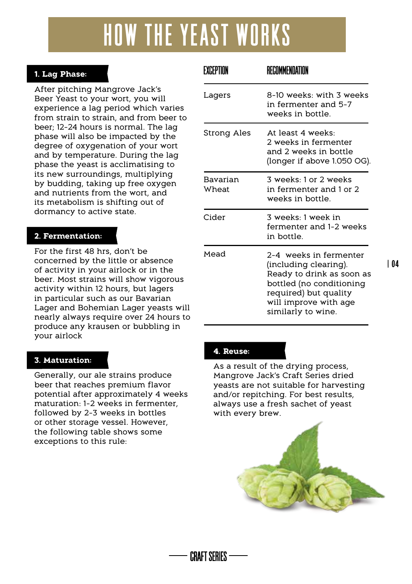# HOW THE YEAST WORKS

# **1. Lag Phase:**

After pitching Mangrove Jack's Beer Yeast to your wort, you will experience a lag period which varies from strain to strain, and from beer to beer; 12-24 hours is normal. The lag phase will also be impacted by the degree of oxygenation of your wort and by temperature. During the lag phase the yeast is acclimatising to its new surroundings, multiplying by budding, taking up free oxygen and nutrients from the wort, and its metabolism is shifting out of dormancy to active state.

### **2. Fermentation:**

For the first 48 hrs, don't be concerned by the little or absence of activity in your airlock or in the beer. Most strains will show vigorous activity within 12 hours, but lagers in particular such as our Bavarian Lager and Bohemian Lager yeasts will nearly always require over 24 hours to produce any krausen or bubbling in your airlock

### **3. Maturation:**

Generally, our ale strains produce beer that reaches premium flavor potential after approximately 4 weeks maturation: 1-2 weeks in fermenter, followed by 2-3 weeks in bottles or other storage vessel. However, the following table shows some exceptions to this rule:

| FXCFPTION         | RFCOMMFNDATION                                                                                                                                                                   |
|-------------------|----------------------------------------------------------------------------------------------------------------------------------------------------------------------------------|
| Lagers            | 8-10 weeks: with 3 weeks<br>in fermenter and 5-7<br>weeks in bottle                                                                                                              |
| Strong Ales       | At least 4 weeks<br>2 weeks in fermenter<br>and 2 weeks in bottle<br>(longer if above 1.050 OG).                                                                                 |
| Bavarian<br>Wheat | 3 weeks: 1 or 2 weeks<br>in fermenter and 1 or 2<br>weeks in bottle                                                                                                              |
| Cider             | 3 weeks 1 week in<br>fermenter and 1-2 weeks<br>in bottle                                                                                                                        |
| Mead              | 2-4 weeks in fermenter<br>(including clearing).<br>Ready to drink as soon as<br>bottled (no conditioning<br>required) but quality<br>will improve with age<br>similarly to wine. |

| 04

### **4. Reuse:**

**CRAFT SFRIFS -**

As a result of the drying process, Mangrove Jack's Craft Series dried yeasts are not suitable for harvesting and/or repitching. For best results, always use a fresh sachet of yeast with every brew.

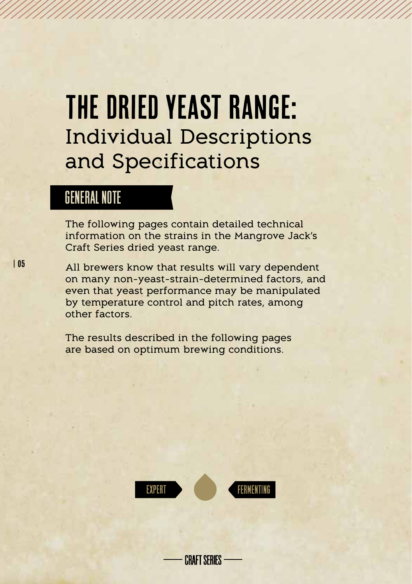# The Dried Yeast Range: Individual Descriptions and Specifications

# GENERAL NOTE

The following pages contain detailed technical information on the strains in the Mangrove Jack's Craft Series dried yeast range.

All brewers know that results will vary dependent on many non-yeast-strain-determined factors, and even that yeast performance may be manipulated by temperature control and pitch rates, among other factors.

The results described in the following pages are based on optimum brewing conditions.



**CRAFT SFRIFS** 

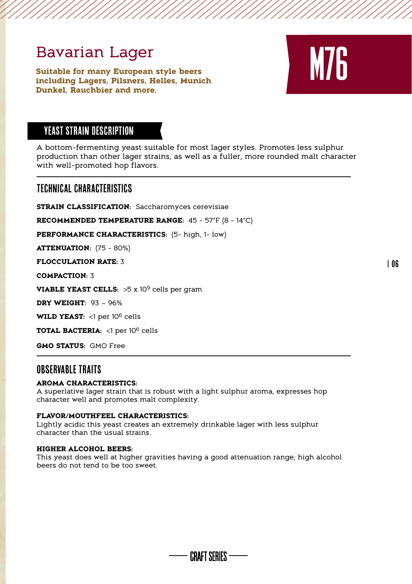# Bavarian Lager

**Suitable for many European style beers including Lagers, Pilsners, Helles, Munich Dunkel, Rauchbier and more.**



# YEAST STRAIN DESCRIPTION

A bottom-fermenting yeast suitable for most lager styles. Promotes less sulphur production than other lager strains, as well as a fuller, more rounded malt character with well-promoted hop flavors.

### Technical Characteristics

**STRAIN CLASSIFICATION: Saccharomyces cerevisiae** 

**RECOMMENDED TEMPERATURE RANGE:** 45 - 57°F (8 - 14°C)

**PERFORMANCE CHARACTERISTICS:** (5- high, 1- low)

**ATTENUATION:** (75 - 80%)

**FLOCCULATION RATE:** 3

**COMPACTION:** 3

**VIABLE YEAST CELLS:** >5 x 109 cells per gram

**DRY WEIGHT:** 93 – 96%

WILD YEAST: <1 per 10<sup>6</sup> cells

**TOTAL BACTERIA:** <1 per 106 cells

**GMO STATUS:** GMO Free

## OBSFRVARI F TRAITS

#### **AROMA CHARACTERISTICS:**

A superlative lager strain that is robust with a light sulphur aroma, expresses hop character well and promotes malt complexity.

#### **FLAVOR/MOUTHFEEL CHARACTERISTICS:**

Lightly acidic this yeast creates an extremely drinkable lager with less sulphur character than the usual strains.

#### **HIGHER ALCOHOL BEERS:**

This yeast does well at higher gravities having a good attenuation range; high alcohol beers do not tend to be too sweet.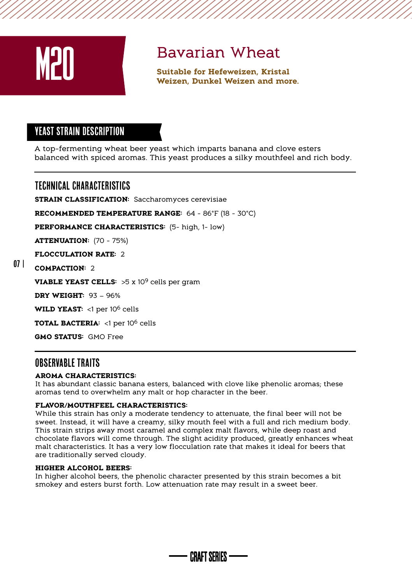

**Bavarian Wheat**<br>
Suitable for Hefeweizen, Kristal<br>
Weizen, Dunkel Weizen and more.

# YEAST STRAIN Description

A top-fermenting wheat beer yeast which imparts banana and clove esters balanced with spiced aromas. This yeast produces a silky mouthfeel and rich body.

Technical Characteristics

**STRAIN CLASSIFICATION:** Saccharomyces cerevisiae

**RECOMMENDED TEMPERATURE RANGE:** 64 - 86°F (18 - 30°C)

**PERFORMANCE CHARACTERISTICS:** (5- high, 1- low)

**ATTENUATION:** (70 - 75%)

**FLOCCULATION RATE:** 2

#### 07 | **COMPACTION:** 2

**VIABLE YEAST CELLS:** >5 x 10<sup>9</sup> cells per gram

**DRY WEIGHT:** 93 – 96%

WILD YEAST: <1 per 10<sup>6</sup> cells

**TOTAL BACTERIA:** <1 per 106 cells

**GMO STATUS:** GMO Free

# Observable traits

#### **AROMA CHARACTERISTICS:**

It has abundant classic banana esters, balanced with clove like phenolic aromas; these aromas tend to overwhelm any malt or hop character in the beer.

#### **FLAVOR/MOUTHFEEL CHARACTERISTICS:**

While this strain has only a moderate tendency to attenuate, the final beer will not be sweet. Instead, it will have a creamy, silky mouth feel with a full and rich medium body. This strain strips away most caramel and complex malt flavors, while deep roast and chocolate flavors will come through. The slight acidity produced, greatly enhances wheat malt characteristics. It has a very low flocculation rate that makes it ideal for beers that are traditionally served cloudy.

#### **HIGHER ALCOHOL BEERS:**

In higher alcohol beers, the phenolic character presented by this strain becomes a bit smokey and esters burst forth. Low attenuation rate may result in a sweet beer.

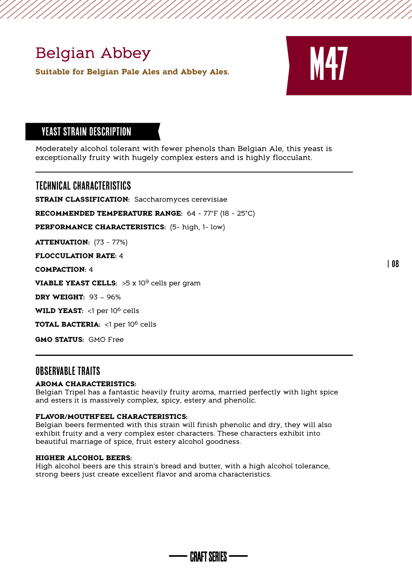# Belgian Abbey

**Suitable for Belgian Pale Ales and Abbey Ales.**



| 08

# YEAST STRAIN Description

Moderately alcohol tolerant with fewer phenols than Belgian Ale, this yeast is exceptionally fruity with hugely complex esters and is highly flocculant.

Technical Characteristics

**STRAIN CLASSIFICATION: Saccharomyces cerevisiae** 

**RECOMMENDED TEMPERATURE RANGE:** 64 - 77°F (18 - 25°C)

**PERFORMANCE CHARACTERISTICS:** (5- high, 1- low)

**ATTENUATION:** (73 - 77%)

**FLOCCULATION RATE:** 4

**COMPACTION:** 4

**VIABLE YEAST CELLS:** >5 x 109 cells per gram

**DRY WEIGHT:** 93 – 96%

WILD YEAST: <1 per 10<sup>6</sup> cells

**TOTAL BACTERIA:** <1 per 106 cells

**GMO STATUS:** GMO Free

# OBSERVABLE TRAITS

#### **AROMA CHARACTERISTICS:**

Belgian Tripel has a fantastic heavily fruity aroma, married perfectly with light spice and esters it is massively complex, spicy, estery and phenolic.

#### **FLAVOR/MOUTHFEEL CHARACTERISTICS:**

Belgian beers fermented with this strain will finish phenolic and dry, they will also exhibit fruity and a very complex ester characters. These characters exhibit into beautiful marriage of spice, fruit estery alcohol goodness.

#### **HIGHER ALCOHOL BEERS:**

High alcohol beers are this strain's bread and butter, with a high alcohol tolerance, strong beers just create excellent flavor and aroma characteristics.

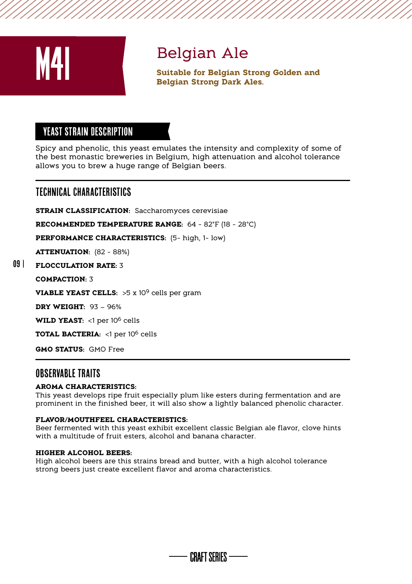

# Belgian Ale

**Suitable for Belgian Strong Golden and Belgian Strong Dark Ales.**

# YEAST STRAIN Description

Spicy and phenolic, this yeast emulates the intensity and complexity of some of the best monastic breweries in Belgium, high attenuation and alcohol tolerance allows you to brew a huge range of Belgian beers.

# Technical Characteristics

**STRAIN CLASSIFICATION: Saccharomyces cerevisiae** 

**RECOMMENDED TEMPERATURE RANGE:** 64 - 82°F (18 - 28°C)

**PERFORMANCE CHARACTERISTICS:** (5- high, 1- low)

**ATTENUATION:** (82 - 88%)

#### **FLOCCULATION RATE:** 3 09 |

**COMPACTION:** 3

**VIABLE YEAST CELLS:** >5 x 109 cells per gram

**DRY WEIGHT:** 93 – 96%

WILD YEAST: <1 per 10<sup>6</sup> cells

**TOTAL BACTERIA:** <1 per 106 cells

**GMO STATUS:** GMO Free

# OBSFRVARI F TRAITS

#### **AROMA CHARACTERISTICS:**

This yeast develops ripe fruit especially plum like esters during fermentation and are prominent in the finished beer, it will also show a lightly balanced phenolic character.

#### **FLAVOR/MOUTHFEEL CHARACTERISTICS:**

Beer fermented with this yeast exhibit excellent classic Belgian ale flavor, clove hints with a multitude of fruit esters, alcohol and banana character.

#### **HIGHER ALCOHOL BEERS:**

High alcohol beers are this strains bread and butter, with a high alcohol tolerance strong beers just create excellent flavor and aroma characteristics.

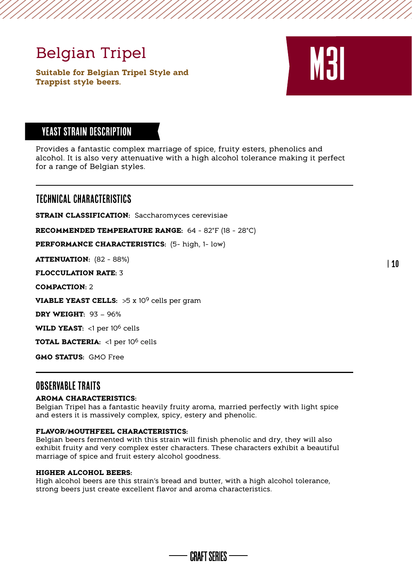# Belgian Tripel

**Suitable for Belgian Tripel Style and The Soutable for Belgian Tripel Style and Southbook Scripts Style beers.** 



# YEAST STRAIN Description

Provides a fantastic complex marriage of spice, fruity esters, phenolics and alcohol. It is also very attenuative with a high alcohol tolerance making it perfect for a range of Belgian styles.

# Technical Characteristics

**STRAIN CLASSIFICATION:** Saccharomyces cerevisiae

**RECOMMENDED TEMPERATURE RANGE:** 64 - 82°F (18 - 28°C)

**PERFORMANCE CHARACTERISTICS:** (5- high, 1- low)

**ATTENUATION:** (82 - 88%)

**FLOCCULATION RATE:** 3

**COMPACTION:** 2

**VIABLE YEAST CELLS:** >5 x 109 cells per gram

**DRY WEIGHT:** 93 – 96%

WILD YEAST: <1 per 10<sup>6</sup> cells

**TOTAL BACTERIA:** <1 per 106 cells

**GMO STATUS:** GMO Free

# Observable traitS

#### **AROMA CHARACTERISTICS:**

Belgian Tripel has a fantastic heavily fruity aroma, married perfectly with light spice and esters it is massively complex, spicy, estery and phenolic.

#### **FLAVOR/MOUTHFEEL CHARACTERISTICS:**

Belgian beers fermented with this strain will finish phenolic and dry, they will also exhibit fruity and very complex ester characters. These characters exhibit a beautiful marriage of spice and fruit estery alcohol goodness.

#### **HIGHER ALCOHOL BEERS:**

High alcohol beers are this strain's bread and butter, with a high alcohol tolerance, strong beers just create excellent flavor and aroma characteristics.



| 10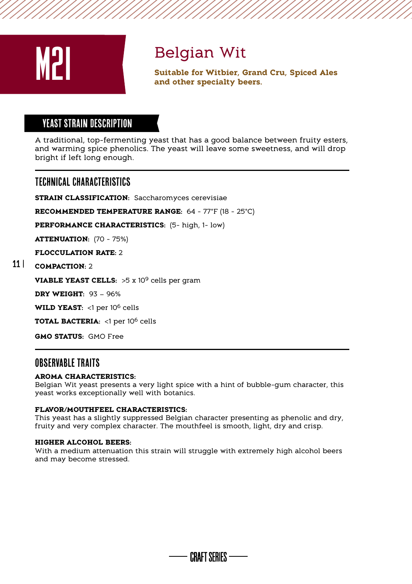

# Belgian Wit

**Suitable for Within Suitable for Witbier, Grand Cru, Spiced Ales and other specialty beers.** 

# YEAST STRAIN DESCRIPTION

A traditional, top-fermenting yeast that has a good balance between fruity esters, and warming spice phenolics. The yeast will leave some sweetness, and will drop bright if left long enough.

# Technical Characteristics

**STRAIN CLASSIFICATION:** Saccharomyces cerevisiae

**RECOMMENDED TEMPERATURE RANGE:** 64 - 77°F (18 - 25°C)

**PERFORMANCE CHARACTERISTICS:** (5- high, 1- low)

**ATTENUATION:** (70 - 75%)

**FLOCCULATION RATE:** 2

#### **COMPACTION:** 2 11 |

**VIABLE YEAST CELLS:** >5 x 10<sup>9</sup> cells per gram

**DRY WEIGHT:** 93 – 96%

WILD YEAST: <1 per 10<sup>6</sup> cells

**TOTAL BACTERIA:** <1 per 106 cells

**GMO STATUS:** GMO Free

# OBSERVABLE TRAITS

#### **AROMA CHARACTERISTICS:**

Belgian Wit yeast presents a very light spice with a hint of bubble-gum character, this yeast works exceptionally well with botanics.

#### **FLAVOR/MOUTHFEEL CHARACTERISTICS:**

This yeast has a slightly suppressed Belgian character presenting as phenolic and dry, fruity and very complex character. The mouthfeel is smooth, light, dry and crisp.

#### **HIGHER ALCOHOL BEERS:**

With a medium attenuation this strain will struggle with extremely high alcohol beers and may become stressed.

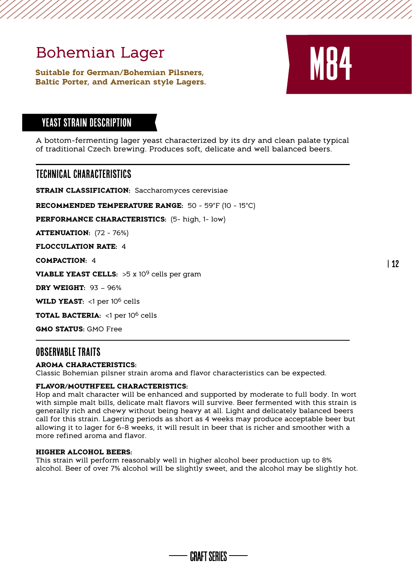# Bohemian Lager

**Suitable for German/Bohemian Pilsners, Baltic Porter, and American style Lagers.**



| 12

# YEAST STRAIN Description

A bottom-fermenting lager yeast characterized by its dry and clean palate typical of traditional Czech brewing. Produces soft, delicate and well balanced beers.

# Technical Characteristics

**STRAIN CLASSIFICATION: Saccharomyces cerevisiae** 

**RECOMMENDED TEMPERATURE RANGE:** 50 - 59°F (10 - 15°C)

**PERFORMANCE CHARACTERISTICS:** (5- high, 1- low)

**ATTENUATION:** (72 - 76%)

**FLOCCULATION RATE:** 4

**COMPACTION:** 4

**VIABLE YEAST CELLS:** >5 x 109 cells per gram

**DRY WEIGHT:** 93 – 96%

WILD YEAST: <1 per 10<sup>6</sup> cells

**TOTAL BACTERIA:** <1 per 106 cells

**GMO STATUS:** GMO Free

# Observable traitS

#### **AROMA CHARACTERISTICS:**

Classic Bohemian pilsner strain aroma and flavor characteristics can be expected.

#### **FLAVOR/MOUTHFEEL CHARACTERISTICS:**

Hop and malt character will be enhanced and supported by moderate to full body. In wort with simple malt bills, delicate malt flavors will survive. Beer fermented with this strain is generally rich and chewy without being heavy at all. Light and delicately balanced beers call for this strain. Lagering periods as short as 4 weeks may produce acceptable beer but allowing it to lager for 6-8 weeks, it will result in beer that is richer and smoother with a more refined aroma and flavor.

#### **HIGHER ALCOHOL BEERS:**

This strain will perform reasonably well in higher alcohol beer production up to 8% alcohol. Beer of over 7% alcohol will be slightly sweet, and the alcohol may be slightly hot.

CRAFT SFRIFS ——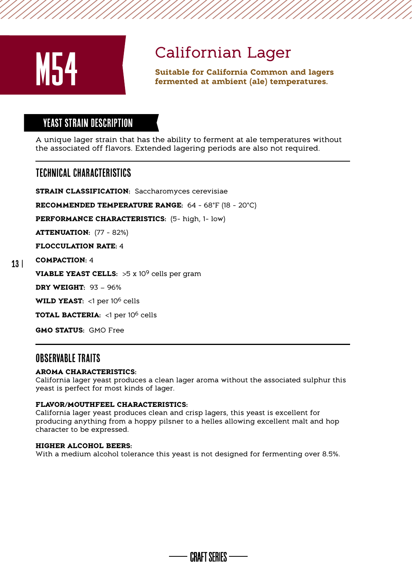

**Californian Lager<br>
Suitable for California Common and lagers<br>
Suitable for California Common and lagers<br>
Fermented at ambient (ale) temperatures.** 

# YEAST STRAIN Description

A unique lager strain that has the ability to ferment at ale temperatures without the associated off flavors. Extended lagering periods are also not required.

# Technical Characteristics

**STRAIN CLASSIFICATION:** Saccharomyces cerevisiae

**RECOMMENDED TEMPERATURE RANGE:** 64 - 68°F (18 - 20°C)

**PERFORMANCE CHARACTERISTICS:** (5- high, 1- low)

**ATTENUATION:** (77 - 82%)

**FLOCCULATION RATE:** 4

#### 13 | **COMPACTION:** 4

**VIABLE YEAST CELLS:** >5 x 109 cells per gram

**DRY WEIGHT:** 93 – 96%

**WILD YEAST:** <1 per 10<sup>6</sup> cells

**TOTAL BACTERIA:** <1 per 106 cells

**GMO STATUS:** GMO Free

# Observable traitS

#### **AROMA CHARACTERISTICS:**

California lager yeast produces a clean lager aroma without the associated sulphur this yeast is perfect for most kinds of lager.

#### **FLAVOR/MOUTHFEEL CHARACTERISTICS:**

California lager yeast produces clean and crisp lagers, this yeast is excellent for producing anything from a hoppy pilsner to a helles allowing excellent malt and hop character to be expressed.

#### **HIGHER ALCOHOL BEERS:**

With a medium alcohol tolerance this yeast is not designed for fermenting over 8.5%.

**CRAFT SFRIFS --**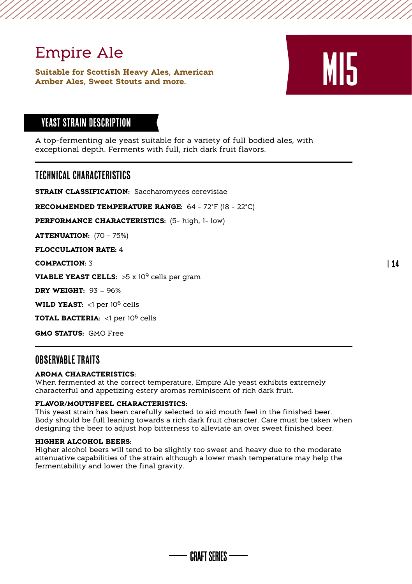Empire Ale<br>
Suitable for Scottish Heavy Ales, American<br>
Amber Ales, Sweet Stouts and more. **Suitable for Scottish Heavy Ales, American Amber Ales, Sweet Stouts and more.** 



# YEAST STRAIN Description

A top-fermenting ale yeast suitable for a variety of full bodied ales, with exceptional depth. Ferments with full, rich dark fruit flavors.

# Technical Characteristics

**STRAIN CLASSIFICATION:** Saccharomyces cerevisiae

**RECOMMENDED TEMPERATURE RANGE:** 64 - 72°F (18 - 22°C)

**PERFORMANCE CHARACTERISTICS:** (5- high, 1- low)

**ATTENUATION:** (70 - 75%)

**FLOCCULATION RATE:** 4

**COMPACTION:** 3

**VIABLE YEAST CELLS:** >5 x 10<sup>9</sup> cells per gram

**DRY WEIGHT:** 93 – 96%

WILD YEAST: <1 per 10<sup>6</sup> cells

**TOTAL BACTERIA:** <1 per 106 cells

**GMO STATUS:** GMO Free

### OBSFRVARIF TRAITS

#### **AROMA CHARACTERISTICS:**

When fermented at the correct temperature, Empire Ale yeast exhibits extremely characterful and appetizing estery aromas reminiscent of rich dark fruit.

#### **FLAVOR/MOUTHFEEL CHARACTERISTICS:**

This yeast strain has been carefully selected to aid mouth feel in the finished beer. Body should be full leaning towards a rich dark fruit character. Care must be taken when designing the beer to adjust hop bitterness to alleviate an over sweet finished beer.

#### **HIGHER ALCOHOL BEERS:**

Higher alcohol beers will tend to be slightly too sweet and heavy due to the moderate attenuative capabilities of the strain although a lower mash temperature may help the fermentability and lower the final gravity.

CRAFT SFRIFS ——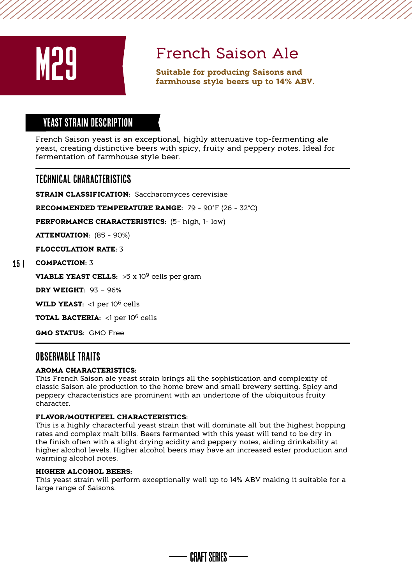

**French Saison Ale**<br>
Suitable for producing Saisons and<br>
farmhouse style beers up to 14% ABV.

# YEAST STRAIN Description

French Saison yeast is an exceptional, highly attenuative top-fermenting ale yeast, creating distinctive beers with spicy, fruity and peppery notes. Ideal for fermentation of farmhouse style beer.

# Technical Characteristics

**STRAIN CLASSIFICATION:** Saccharomyces cerevisiae

**RECOMMENDED TEMPERATURE RANGE:** 79 - 90°F (26 - 32°C)

**PERFORMANCE CHARACTERISTICS:** (5- high, 1- low)

**ATTENUATION:** (85 - 90%)

**FLOCCULATION RATE:** 3

#### 15 | **COMPACTION:** 3

**VIABLE YEAST CELLS:** >5 x 10<sup>9</sup> cells per gram

**DRY WEIGHT:** 93 – 96%

WILD YEAST: <1 per 10<sup>6</sup> cells

**TOTAL BACTERIA:** <1 per 106 cells

**GMO STATUS:** GMO Free

# Observable traitS

#### **AROMA CHARACTERISTICS:**

This French Saison ale yeast strain brings all the sophistication and complexity of classic Saison ale production to the home brew and small brewery setting. Spicy and peppery characteristics are prominent with an undertone of the ubiquitous fruity character.

#### **FLAVOR/MOUTHFEEL CHARACTERISTICS:**

This is a highly characterful yeast strain that will dominate all but the highest hopping rates and complex malt bills. Beers fermented with this yeast will tend to be dry in the finish often with a slight drying acidity and peppery notes, aiding drinkability at higher alcohol levels. Higher alcohol beers may have an increased ester production and warming alcohol notes.

#### **HIGHER ALCOHOL BEERS:**

This yeast strain will perform exceptionally well up to 14% ABV making it suitable for a large range of Saisons.

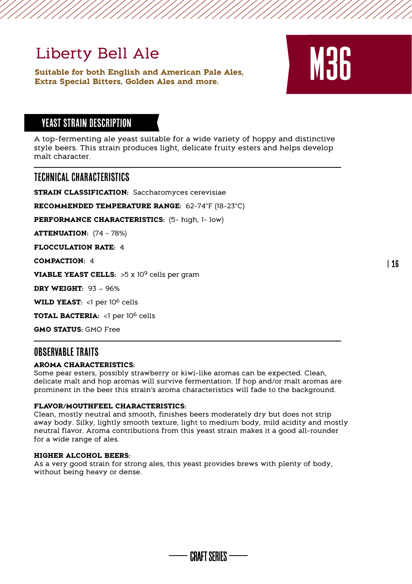# Liberty Bell Ale

**Suitable for both English and American Pale Ales,**  Liberty Bell Ale<br>
Suitable for both English and American Pale Ales,<br>
Extra Special Bitters, Golden Ales and more.



| 16

# YEAST STRAIN DESCRIPTION

A top-fermenting ale yeast suitable for a wide variety of hoppy and distinctive style beers. This strain produces light, delicate fruity esters and helps develop malt character

### Technical Characteristics

**STRAIN CLASSIFICATION:** Saccharomyces cerevisiae

**RECOMMENDED TEMPERATURE RANGE:** 62-74°F (18-23°C)

**PERFORMANCE CHARACTERISTICS:** (5- high, 1- low)

**ATTENUATION:** (74 - 78%)

**FLOCCULATION RATE:** 4

**COMPACTION:** 4

**VIABLE YEAST CELLS:** >5 x 10<sup>9</sup> cells per gram

**DRY WEIGHT:** 93 – 96%

**WILD YEAST:** <1 per 106 cells

**TOTAL BACTERIA:** <1 per 106 cells

**GMO STATUS:** GMO Free

# OBSERVARI E TRAITS

#### **AROMA CHARACTERISTICS:**

Some pear esters, possibly strawberry or kiwi-like aromas can be expected. Clean, delicate malt and hop aromas will survive fermentation. If hop and/or malt aromas are prominent in the beer this strain's aroma characteristics will fade to the background.

#### **FLAVOR/MOUTHFEEL CHARACTERISTICS:**

Clean, mostly neutral and smooth, finishes beers moderately dry but does not strip away body. Silky, lightly smooth texture, light to medium body, mild acidity and mostly neutral flavor. Aroma contributions from this yeast strain makes it a good all-rounder for a wide range of ales.

#### **HIGHER ALCOHOL BEERS:**

As a very good strain for strong ales, this yeast provides brews with plenty of body, without being heavy or dense.

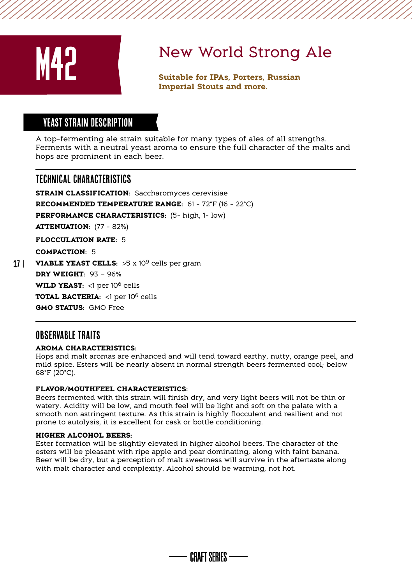

# New World Strong Ale

**Suitable for IPAs, Porters, Russian Imperial Stouts and more.**

# YEAST STRAIN DESCRIPTION

A top-fermenting ale strain suitable for many types of ales of all strengths. Ferments with a neutral yeast aroma to ensure the full character of the malts and hops are prominent in each beer.

# Technical Characteristics

**STRAIN CLASSIFICATION: Saccharomyces cerevisiae RECOMMENDED TEMPERATURE RANGE:** 61 - 72°F (16 - 22°C) **PERFORMANCE CHARACTERISTICS:** (5- high, 1- low) **ATTENUATION:** (77 - 82%) **FLOCCULATION RATE:** 5 **COMPACTION:** 5 **VIABLE YEAST CELLS:** >5 x 10<sup>9</sup> cells per gram **DRY WEIGHT:** 93 – 96% WILD YEAST: <1 per 10<sup>6</sup> cells **TOTAL BACTERIA:** <1 per 106 cells **GMO STATUS:** GMO Free

# OBSERVARI E TRAITS

 $17<sup>1</sup>$ 

#### **AROMA CHARACTERISTICS:**

Hops and malt aromas are enhanced and will tend toward earthy, nutty, orange peel, and mild spice. Esters will be nearly absent in normal strength beers fermented cool; below 68°F (20°C).

#### **FLAVOR/MOUTHFEEL CHARACTERISTICS:**

Beers fermented with this strain will finish dry, and very light beers will not be thin or watery. Acidity will be low, and mouth feel will be light and soft on the palate with a smooth non astringent texture. As this strain is highly flocculent and resilient and not prone to autolysis, it is excellent for cask or bottle conditioning.

#### **HIGHER ALCOHOL BEERS:**

Ester formation will be slightly elevated in higher alcohol beers. The character of the esters will be pleasant with ripe apple and pear dominating, along with faint banana. Beer will be dry, but a perception of malt sweetness will survive in the aftertaste along with malt character and complexity. Alcohol should be warming, not hot.

CRAFT SFRIFS ——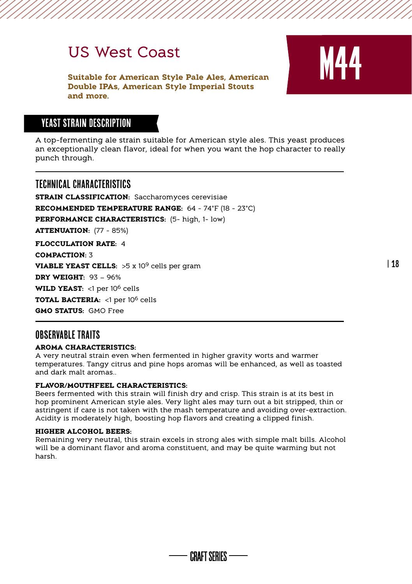# US West Coast

**Suitable for American Style Pale Ales, American Double IPAs, American Style Imperial Stouts and more.**



# YEAST STRAIN Description

A top-fermenting ale strain suitable for American style ales. This yeast produces an exceptionally clean flavor, ideal for when you want the hop character to really punch through.

# Technical Characteristics

**STRAIN CLASSIFICATION:** Saccharomyces cerevisiae **RECOMMENDED TEMPERATURE RANGE:** 64 - 74°F (18 - 23°C) **PERFORMANCE CHARACTERISTICS:** (5- high, 1- low) **ATTENUATION:** (77 - 85%) **FLOCCULATION RATE:** 4 **COMPACTION:** 3 **VIABLE YEAST CELLS:** >5 x 10<sup>9</sup> cells per gram **DRY WEIGHT:** 93 – 96% WILD YEAST: <1 per 10<sup>6</sup> cells **TOTAL BACTERIA:** <1 per 106 cells

**GMO STATUS:** GMO Free

# OBSERVABLE TRAITS

#### **AROMA CHARACTERISTICS:**

A very neutral strain even when fermented in higher gravity worts and warmer temperatures. Tangy citrus and pine hops aromas will be enhanced, as well as toasted and dark malt aromas..

#### **FLAVOR/MOUTHFEEL CHARACTERISTICS:**

Beers fermented with this strain will finish dry and crisp. This strain is at its best in hop prominent American style ales. Very light ales may turn out a bit stripped, thin or astringent if care is not taken with the mash temperature and avoiding over-extraction. Acidity is moderately high, boosting hop flavors and creating a clipped finish.

#### **HIGHER ALCOHOL BEERS:**

Remaining very neutral, this strain excels in strong ales with simple malt bills. Alcohol will be a dominant flavor and aroma constituent, and may be quite warming but not harsh.

CRAFT SFRIFS ——

| 18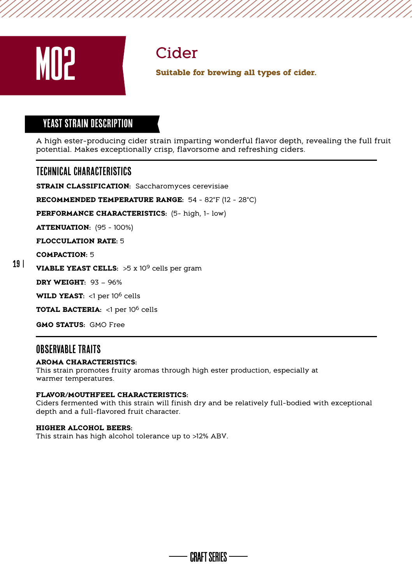

# YEAST STRAIN DESCRIPTION

A high ester-producing cider strain imparting wonderful flavor depth, revealing the full fruit potential. Makes exceptionally crisp, flavorsome and refreshing ciders. **all types of cider.**<br>**all types of cider.**<br>**A** high ester-producing cider strain imparting wonderful flavor depth, repotential. Makes exceptionally crisp, flavorsome and refreshing ciders.<br><br>**TECHNICAL CHARACTERISTICS**<br>**ST** 

# Technical Characteristics

**RECOMMENDED TEMPERATURE RANGE:** 54 - 82°F (12 - 28°C)

**PERFORMANCE CHARACTERISTICS:** (5- high, 1- low)

**ATTENUATION:** (95 - 100%)

**FLOCCULATION RATE:** 5

**COMPACTION:** 5

#### 19 | **VIABLE YEAST CELLS:** >5 x 109 cells per gram

**DRY WEIGHT:** 93 – 96%

**WILD YEAST:** <1 per 106 cells

**TOTAL BACTERIA:** <1 per 106 cells

**GMO STATUS:** GMO Free

# OBSERVARI E TRAITS

#### **AROMA CHARACTERISTICS:**

This strain promotes fruity aromas through high ester production, especially at warmer temperatures.

#### **FLAVOR/MOUTHFEEL CHARACTERISTICS:**

Ciders fermented with this strain will finish dry and be relatively full-bodied with exceptional depth and a full-flavored fruit character.

#### **HIGHER ALCOHOL BEERS:**

This strain has high alcohol tolerance up to >12% ABV.

**CRAFT SFRIFS --**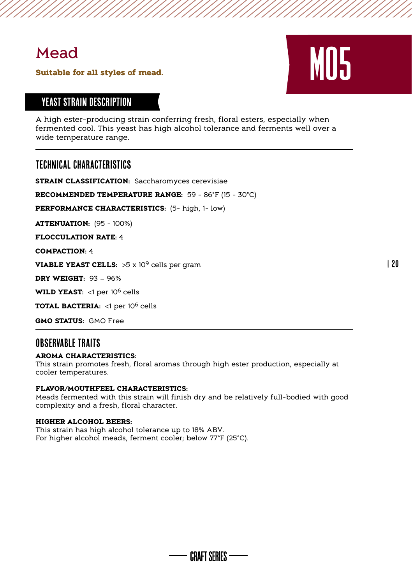# Mead

# **Suitable for all styles of mead.** MOS

# YEAST STRAIN Description

A high ester-producing strain conferring fresh, floral esters, especially when fermented cool. This yeast has high alcohol tolerance and ferments well over a wide temperature range.

# Technical Characteristics

**STRAIN CLASSIFICATION:** Saccharomyces cerevisiae

**RECOMMENDED TEMPERATURE RANGE:** 59 - 86°F (15 - 30°C)

**PERFORMANCE CHARACTERISTICS:** (5- high, 1- low)

**ATTENUATION:** (95 - 100%)

**FLOCCULATION RATE:** 4

**COMPACTION:** 4

**VIABLE YEAST CELLS:** >5 x 10<sup>9</sup> cells per gram

**DRY WEIGHT:** 93 – 96%

WILD YEAST: <1 per 10<sup>6</sup> cells

**TOTAL BACTERIA:** <1 per 106 cells

**GMO STATUS:** GMO Free

# Observable traitS

#### **AROMA CHARACTERISTICS:**

This strain promotes fresh, floral aromas through high ester production, especially at cooler temperatures.

#### **FLAVOR/MOUTHFEEL CHARACTERISTICS:**

Meads fermented with this strain will finish dry and be relatively full-bodied with good complexity and a fresh, floral character.

#### **HIGHER ALCOHOL BEERS:**

This strain has high alcohol tolerance up to 18% ABV. For higher alcohol meads, ferment cooler; below 77°F (25°C).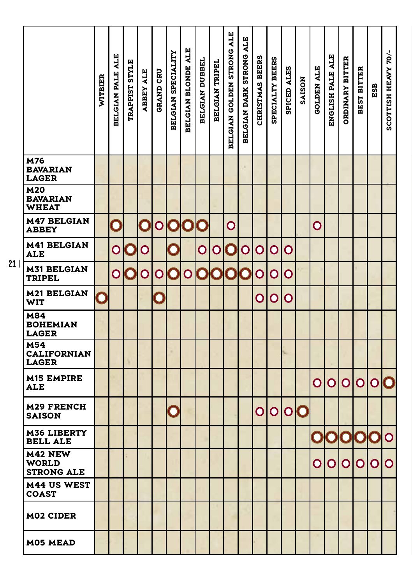|                                               | WITBIER | <b>BELGIAN PALE ALE</b> | TRAPPIST STYLE | <b>ABBEY ALE</b> | <b>GRAND CRU</b> | BELGIAN SPECIALITY | BELGIAN BLONDE ALE | BELGIAN DUBBEL | BELGIAN TRIPEL         | <b>BELGIAN GOLDEN STRONG ALE</b> | BELGIAN DARK STRONG ALE | CHRISTMAS BEERS | SPECIALTY BEERS | SPICED ALES | <b>SAISON</b> | <b>GOLDEN ALE</b> | ENGLISH PALE ALE | <b>ORDINARY BITTER</b> | <b>BEST BITTER</b> | ESB            | SCOTTISH HEAVY 70/-     |
|-----------------------------------------------|---------|-------------------------|----------------|------------------|------------------|--------------------|--------------------|----------------|------------------------|----------------------------------|-------------------------|-----------------|-----------------|-------------|---------------|-------------------|------------------|------------------------|--------------------|----------------|-------------------------|
| M76<br><b>BAVARIAN</b><br><b>LAGER</b>        |         |                         |                |                  |                  |                    |                    |                |                        |                                  |                         |                 |                 |             |               |                   |                  |                        |                    |                |                         |
| <b>M20</b><br><b>BAVARIAN</b><br><b>WHEAT</b> |         |                         |                |                  |                  |                    |                    |                |                        |                                  |                         |                 |                 |             |               |                   |                  |                        |                    |                |                         |
| <b>M47 BELGIAN</b><br><b>ABBEY</b>            |         | $\mathbf C$             |                | C                | $\mathsf O$      | $\mathbf C$        | $\mathbf C$        | $\bigcirc$     |                        | O                                |                         |                 |                 |             |               | O                 |                  |                        |                    |                |                         |
| <b>M41 BELGIAN</b><br><b>ALE</b>              |         | O                       | $\bf{O}$       | O                |                  | C                  |                    | O              | O                      | $\bf O$                          | O                       | O               | O               | О           |               |                   |                  |                        |                    |                |                         |
| <b>M31 BELGIAN</b><br><b>TRIPEL</b>           |         | Ō                       | $\mathbf{O}$   | O                | O                | O                  | $\mathsf O$        | $\mathbf C$    | $\boldsymbol{\hat{Q}}$ | $\bf{O}$                         |                         | O               | O               | O           |               |                   |                  |                        |                    |                |                         |
| <b>M21 BELGIAN</b><br>WIT                     |         |                         |                |                  | $\mathbf C$      |                    |                    |                |                        |                                  |                         | O               | O               | O           |               |                   |                  |                        |                    |                |                         |
| M84<br><b>BOHEMIAN</b><br><b>LAGER</b>        |         |                         |                |                  |                  |                    |                    |                |                        |                                  |                         |                 |                 |             |               |                   |                  |                        |                    |                |                         |
| M54<br><b>CALIFORNIAN</b><br><b>LAGER</b>     |         |                         |                |                  |                  |                    |                    |                |                        |                                  |                         |                 |                 |             |               |                   |                  |                        |                    |                |                         |
| <b>M15 EMPIRE</b><br><b>ALE</b>               |         |                         |                |                  |                  |                    |                    |                |                        |                                  |                         |                 |                 |             |               | O                 | O                | O                      | $\mathsf O$        | $\mathbf O$    |                         |
| <b>M29 FRENCH</b><br><b>SAISON</b>            |         |                         |                |                  |                  | C                  |                    |                |                        |                                  |                         | O               | O               | $\mathsf O$ | $\mathbf C$   |                   |                  |                        |                    |                |                         |
| <b>M36 LIBERTY</b><br><b>BELL ALE</b>         |         |                         |                |                  |                  |                    |                    |                |                        |                                  |                         |                 |                 |             |               | $\bf O$           | $\bf{O}$         | C                      | C                  | C              | $\overline{\mathsf{O}}$ |
| M42 NEW<br><b>WORLD</b><br><b>STRONG ALE</b>  |         |                         |                |                  |                  |                    |                    |                |                        |                                  |                         |                 |                 |             |               | $\mathsf O$       | $\mathsf O$      | O                      | O                  | $\overline{O}$ | $\overline{O}$          |
| <b>M44 US WEST</b><br>COAST                   |         |                         |                |                  |                  |                    |                    |                |                        |                                  |                         |                 |                 |             |               |                   |                  |                        |                    |                |                         |
| M02 CIDER                                     |         |                         |                |                  |                  |                    |                    |                |                        |                                  |                         |                 |                 |             |               |                   |                  |                        |                    |                |                         |
| M05 MEAD                                      |         |                         |                |                  |                  |                    |                    |                |                        |                                  |                         |                 |                 |             |               |                   |                  |                        |                    |                |                         |

 $21$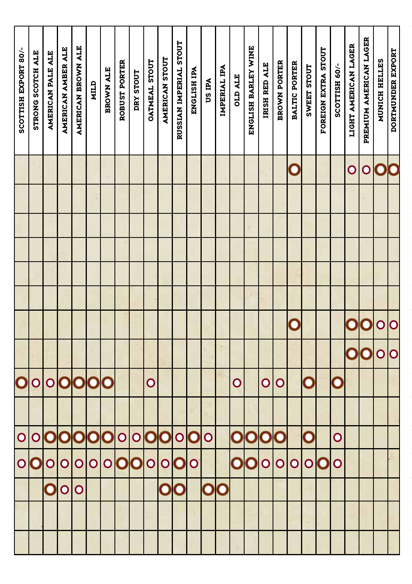| SCOTTISH EXPORT 80/-    | STRONG SCOTCH ALE | AMERICAN PALE ALE       | AMERICAN AMBER ALE | AMERICAN BROWN ALE | MILD        | <b>BROWN ALE</b> | ROBUST PORTER | DRY STOUT   | OATMEAL STOUT | AMERICAN STOUT          | RUSSIAN IMPERIAL STOUT  | ENGLISH IPA  | US IPA                  | IMPERIAL IPA | <b>STP ATE</b> | ENGLISH BARLEY WINE | IRISH RED ALE | <b>BROWN PORTER</b>     | <b>BALTIC PORTER</b> | SWEET STOUT  | FOREIGN EXTRA STOUT | SCOTTISH 60/- | LIGHT AMERICAN LAGER | PREMIUM AMERICAN LAGER | MUNICH HELLES     | <b>DORTMUNDER EXPORT</b> |
|-------------------------|-------------------|-------------------------|--------------------|--------------------|-------------|------------------|---------------|-------------|---------------|-------------------------|-------------------------|--------------|-------------------------|--------------|----------------|---------------------|---------------|-------------------------|----------------------|--------------|---------------------|---------------|----------------------|------------------------|-------------------|--------------------------|
|                         |                   |                         |                    |                    |             |                  |               |             |               |                         |                         |              |                         |              |                |                     |               |                         | C                    |              |                     |               | $\overline{O}$       | $\mathbf O$            | $\mathbf C$       |                          |
|                         |                   |                         |                    |                    |             |                  |               |             |               |                         |                         |              |                         |              |                |                     |               |                         |                      |              |                     |               |                      |                        |                   |                          |
|                         |                   |                         |                    |                    |             |                  |               |             |               |                         |                         |              |                         |              |                |                     |               |                         |                      |              |                     |               |                      |                        |                   |                          |
|                         |                   |                         |                    |                    |             |                  |               |             |               |                         |                         |              |                         |              |                |                     |               |                         |                      |              |                     |               |                      |                        |                   |                          |
|                         |                   |                         |                    |                    |             |                  |               |             |               |                         |                         |              |                         |              |                |                     |               |                         |                      |              |                     |               |                      |                        |                   |                          |
|                         |                   |                         |                    |                    |             |                  |               |             |               |                         |                         |              |                         |              |                |                     |               |                         |                      |              |                     |               |                      |                        |                   |                          |
|                         |                   |                         |                    |                    |             |                  |               |             |               |                         |                         |              |                         |              |                |                     |               |                         | C                    |              |                     |               | C                    | $\mathbf 0$            | $\mathbf O$       | O                        |
|                         |                   |                         |                    |                    |             |                  |               |             |               |                         |                         |              |                         |              |                |                     |               |                         |                      |              |                     |               | C                    | $\mathbf C$            | $\mathbf{\Omega}$ | $\overline{\mathsf{O}}$  |
| $\overline{\mathbf{C}}$ | $\overline{O}$    | $\overline{O}$          |                    | 000                |             | C                |               |             | $\mathsf O$   |                         |                         |              |                         |              | $\overline{O}$ |                     | $\mathsf O$   | $\mathsf O$             |                      | $\mathbf C$  |                     | $\mathbf C$   |                      |                        |                   |                          |
|                         |                   |                         |                    |                    |             |                  |               |             |               |                         |                         |              |                         |              |                |                     |               |                         |                      |              |                     |               |                      |                        |                   |                          |
| $\mathbf O$             | $\mathbf{O}$      | $\mathbf O$             | $\mathbf O$        | $\mathbf O$        | $\mathbf 0$ | $\mathbf C$      | $\circ$       | $\mathbf O$ | $\mathbf O$   | $\mathbf C$             | $\overline{O}$          | $\mathbf  O$ | $\overline{\mathsf{O}}$ |              | $\mathbf C$    | $\bm{\Diamond}$     | $\mathbf C$   | $\hat{\bm{\mathsf{C}}}$ |                      | $\mathbf C$  |                     | $\mathbf O$   |                      |                        |                   |                          |
| $\circ$                 |                   |                         |                    |                    | O           |                  | O             | $\bm{\cup}$ | O             | $\mathsf{O}$            |                         | $\mathsf{O}$ |                         |              |                |                     | $\mathsf O$   |                         | O                    | $\mathsf{O}$ |                     | $\mathbf O$   |                      |                        |                   |                          |
|                         |                   | $\overline{\mathbf{O}}$ |                    | O                  |             |                  |               |             |               | $\overline{\mathbf{O}}$ | $\overline{\mathbf{O}}$ |              | OO                      |              |                |                     |               |                         |                      |              |                     |               |                      |                        |                   |                          |
|                         |                   |                         |                    |                    |             |                  |               |             |               |                         |                         |              |                         |              |                |                     |               |                         |                      |              |                     |               |                      |                        |                   |                          |
|                         |                   |                         |                    |                    |             |                  |               |             |               |                         |                         |              |                         |              |                |                     |               |                         |                      |              |                     |               |                      |                        |                   |                          |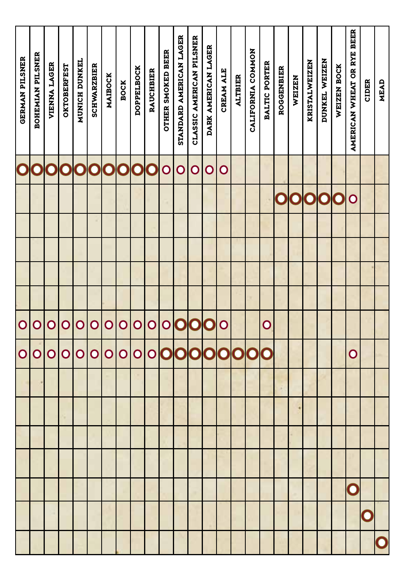| <b>GERMAN PILSNER</b>   | BOHEMIAN PILSNER | <b>VIENNA LAGER</b>     | <b>OKTOBERFEST</b> | MUNICH DUNKEL | <b>SCHWARZBIER</b> | MAIBOCK        | <b>BOCK</b>    | <b>DOPPELBOCK</b> | <b>RAUCHBIER</b> | <b>OTHER SMOKED BEER</b> | STANDARD AMERICAN LAGER | CLASSIC AMERICAN PILSNER | DARK AMERICAN LAGER | CREAM ALE   | <b>ALTBIER</b> | CALIFORNIA COMMON | BALTIC PORTER     | <b>ROGGENBIER</b> | WEIZEN | <b>KRISTALWEIZEN</b> | DUNKEL WEIZEN | WEIZEN BOCK | AMERICAN WHEAT OR RYE BEER | <b>CIDER</b> | MEAD |
|-------------------------|------------------|-------------------------|--------------------|---------------|--------------------|----------------|----------------|-------------------|------------------|--------------------------|-------------------------|--------------------------|---------------------|-------------|----------------|-------------------|-------------------|-------------------|--------|----------------------|---------------|-------------|----------------------------|--------------|------|
| $\overline{\mathbf{O}}$ | $\mathbf C$      | $\overline{\textbf{O}}$ | 000000             |               |                    |                |                |                   | C                | $\overline{\mathsf{O}}$  | $\mathbf O$             | $\overline{O}$           | $\mathsf O$         | $\mathbf O$ |                |                   |                   |                   |        |                      |               |             |                            |              |      |
|                         |                  |                         |                    |               |                    |                |                |                   |                  |                          |                         |                          |                     |             |                |                   |                   | $\mathsf O$       |        | <b>OO</b>            | O             | $\mathbf C$ | $\mathbf O$                |              |      |
|                         |                  |                         |                    |               |                    |                |                |                   |                  |                          |                         |                          |                     |             |                |                   |                   |                   |        |                      |               |             |                            |              |      |
|                         |                  |                         |                    |               |                    |                |                |                   |                  |                          |                         |                          |                     |             |                |                   |                   |                   |        |                      |               |             |                            |              |      |
|                         |                  |                         |                    |               |                    |                |                |                   |                  |                          |                         |                          |                     |             |                |                   |                   |                   |        |                      |               |             |                            |              |      |
|                         |                  |                         |                    |               |                    |                |                |                   |                  |                          |                         |                          |                     |             |                |                   |                   |                   |        |                      |               |             |                            |              |      |
| $\circ$                 | $\overline{O}$   | $\overline{O}$          | $\overline{O}$     | $\mathbf O$   | $\mathbf O$        | $\overline{O}$ | $\mathbf O$    | O                 | $\overline{O}$   |                          | 0000                    |                          |                     | $\mathbf O$ |                |                   | $\mathbf{\Omega}$ |                   |        |                      |               |             |                            |              |      |
| $\overline{O}$          | $\overline{O}$   | $\overline{O}$          | $\mathbf O$        | $\mathbf O$   | $\overline{O}$     | $\overline{O}$ | $\overline{O}$ | O                 |                  |                          | 000000000               |                          |                     |             |                |                   |                   |                   |        |                      |               |             | $\mathbf O$                |              |      |
|                         |                  |                         |                    |               |                    |                |                |                   |                  |                          |                         |                          |                     |             |                |                   |                   |                   |        |                      |               |             |                            |              |      |
|                         |                  |                         |                    |               |                    |                |                |                   |                  |                          |                         |                          |                     |             |                |                   |                   |                   |        |                      |               |             |                            |              |      |
|                         |                  |                         |                    |               |                    |                |                |                   |                  |                          |                         |                          |                     |             |                |                   |                   |                   |        |                      |               |             |                            |              |      |
|                         |                  |                         |                    |               |                    |                |                |                   |                  |                          |                         |                          |                     |             |                |                   |                   |                   |        |                      |               |             |                            |              |      |
|                         |                  |                         |                    |               |                    |                |                |                   |                  |                          |                         |                          |                     |             |                |                   |                   |                   |        |                      |               |             | $\mathbf 0$                |              |      |
|                         |                  |                         |                    |               |                    |                |                |                   |                  |                          |                         |                          |                     |             |                |                   |                   |                   |        |                      |               |             |                            | C            |      |
|                         |                  |                         |                    |               |                    |                |                |                   |                  |                          |                         |                          |                     |             |                |                   |                   |                   |        |                      |               |             |                            |              |      |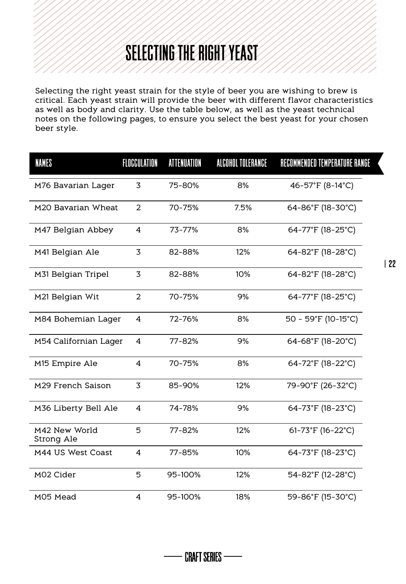# SELECTING THE RIGHT YEAST

Selecting the right yeast strain for the style of beer you are wishing to brew is critical. Each yeast strain will provide the beer with different flavor characteristics as well as body and clarity. Use the table below, as well as the yeast technical notes on the following pages, to ensure you select the best yeast for your chosen beer style.

| NAMES                          | FLOCCULATION | <b>ATTENUATION</b> | ALCOHOL TOLERANCE | RECOMMENDED TEMPERATURE RANGE |  |
|--------------------------------|--------------|--------------------|-------------------|-------------------------------|--|
| M76 Bavarian Lager             | 3            | 75-80%             | 8%                | 46-57°F (8-14°C)              |  |
| M <sub>20</sub> Bavarian Wheat | 2            | 70-75%             | 7.5%              | 64-86°F (18-30°C)             |  |
| M47 Belgian Abbey              | 4            | 73-77%             | 8%                | 64-77°F (18-25°C)             |  |
| M41 Belgian Ale                | 3            | 82-88%             | 12%               | 64-82°F (18-28°C)             |  |
| M31 Belgian Tripel             | 3            | 82-88%             | 10%               | 64-82°F (18-28°C)             |  |
| M21 Belgian Wit                | 2            | 70-75%             | 9%                | 64-77°F (18-25°C)             |  |
| M84 Bohemian Lager             | 4            | 72-76%             | 8%                | 50 - 59°F (10-15°C)           |  |
| M54 Californian Lager          | 4            | 77-82%             | 9%                | 64-68°F (18-20°C)             |  |
| M <sub>15</sub> Empire Ale     | 4            | 70-75%             | 8%                | 64-72°F (18-22°C)             |  |
| M29 French Saison              | 3            | 85-90%             | 12%               | 79-90°F (26-32°C)             |  |
| M36 Liberty Bell Ale           | 4            | 74-78%             | 9%                | 64-73°F (18-23°C)             |  |
| M42 New World<br>Strong Ale    | 5            | 77-82%             | 12%               | 61-73°F (16-22°C)             |  |
| M44 US West Coast              | 4            | 77-85%             | 10%               | 64-73°F (18-23°C)             |  |
| M02 Cider                      | 5            | 95-100%            | 12%               | 54-82°F (12-28°C)             |  |
| M05 Mead                       | 4            | 95-100%            | 18%               | 59-86°F (15-30°C)             |  |

- CRAFT SERIES --

| 22